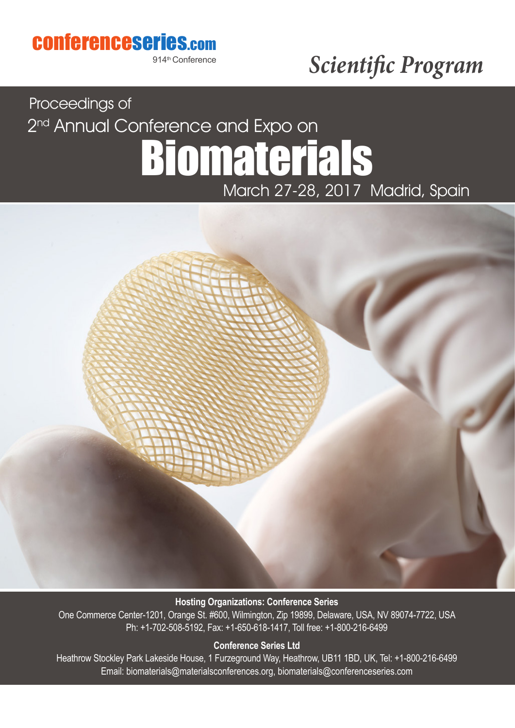### conferenceseries.com

914th Conference

# *Scientific Program*

# Biomaterials Proceedings of March 27-28, 2017 Madrid, Spain 2<sup>nd</sup> Annual Conference and Expo on



#### **Hosting Organizations: Conference Series**

One Commerce Center-1201, Orange St. #600, Wilmington, Zip 19899, Delaware, USA, NV 89074-7722, USA Ph: +1-702-508-5192, Fax: +1-650-618-1417, Toll free: +1-800-216-6499

#### **Conference Series Ltd**

Heathrow Stockley Park Lakeside House, 1 Furzeground Way, Heathrow, UB11 1BD, UK, Tel: +1-800-216-6499 Email: biomaterials@materialsconferences.org, biomaterials@conferenceseries.com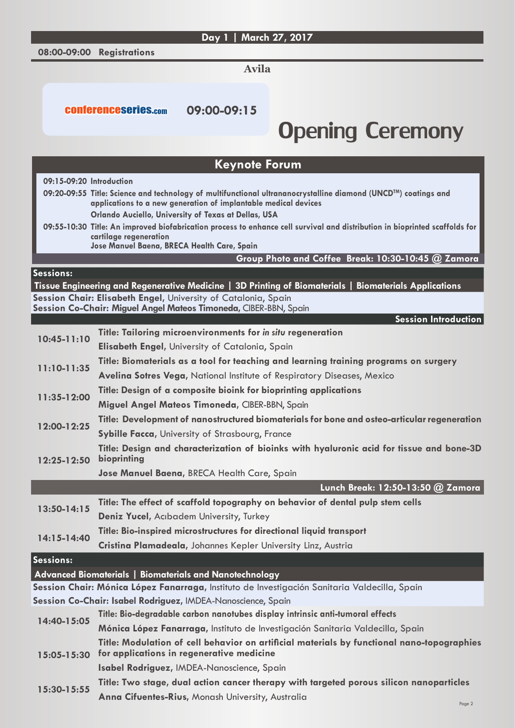#### **Day 1 | March 27, 2017**

**08:00-09:00 Registrations**

**Avila**

conferenceseries.com **09:00-09:15**

## Opening Ceremony

|                          | <b>Keynote Forum</b>                                                                                                                    |
|--------------------------|-----------------------------------------------------------------------------------------------------------------------------------------|
| 09:15-09:20 Introduction |                                                                                                                                         |
|                          | 09:20-09:55 Title: Science and technology of multifunctional ultrananocrystalline diamond (UNCD <sup>TM</sup> ) coatings and            |
|                          | applications to a new generation of implantable medical devices<br>Orlando Auciello, University of Texas at Dellas, USA                 |
|                          | 09:55-10:30 Title: An improved biofabrication process to enhance cell survival and distribution in bioprinted scaffolds for             |
|                          | cartilage regeneration                                                                                                                  |
|                          | Jose Manuel Baena, BRECA Health Care, Spain<br>Group Photo and Coffee Break: 10:30-10:45 @ Zamora                                       |
| Sessions:                |                                                                                                                                         |
|                          | Tissue Engineering and Regenerative Medicine   3D Printing of Biomaterials   Biomaterials Applications                                  |
|                          | Session Chair: Elisabeth Engel, University of Catalonia, Spain                                                                          |
|                          | Session Co-Chair: Miguel Angel Mateos Timoneda, CIBER-BBN, Spain                                                                        |
|                          | <b>Session Introduction</b>                                                                                                             |
| $10:45 - 11:10$          | Title: Tailoring microenvironments for in situ regeneration                                                                             |
|                          | <b>Elisabeth Engel, University of Catalonia, Spain</b>                                                                                  |
| $11:10-11:35$            | Title: Biomaterials as a tool for teaching and learning training programs on surgery                                                    |
|                          | <b>Avelina Sotres Vega, National Institute of Respiratory Diseases, Mexico</b>                                                          |
| 11:35-12:00              | Title: Design of a composite bioink for bioprinting applications                                                                        |
|                          | Miguel Angel Mateos Timoneda, CIBER-BBN, Spain                                                                                          |
| 12:00-12:25              | Title: Development of nanostructured biomaterials for bone and osteo-articular regeneration                                             |
|                          | Sybille Facca, University of Strasbourg, France                                                                                         |
| $12:25 - 12:50$          | Title: Design and characterization of bioinks with hyaluronic acid for tissue and bone-3D<br>bioprinting                                |
|                          | Jose Manuel Baena, BRECA Health Care, Spain                                                                                             |
|                          | Lunch Break: 12:50-13:50 @ Zamora                                                                                                       |
| 13:50-14:15              | Title: The effect of scaffold topography on behavior of dental pulp stem cells                                                          |
|                          | Deniz Yucel, Acibadem University, Turkey                                                                                                |
| 14:15-14:40              | Title: Bio-inspired microstructures for directional liquid transport                                                                    |
|                          | Cristina Plamadeala, Johannes Kepler University Linz, Austria                                                                           |
| Sessions:                |                                                                                                                                         |
|                          | Advanced Biomaterials   Biomaterials and Nanotechnology                                                                                 |
|                          | Session Chair: Mónica López Fanarraga, Instituto de Investigación Sanitaria Valdecilla, Spain                                           |
|                          | Session Co-Chair: Isabel Rodriguez, IMDEA-Nanoscience, Spain                                                                            |
| 14:40-15:05              | Title: Bio-degradable carbon nanotubes display intrinsic anti-tumoral effects                                                           |
|                          | Mónica López Fanarraga, Instituto de Investigación Sanitaria Valdecilla, Spain                                                          |
| $15:05 - 15:30$          | Title: Modulation of cell behavior on artificial materials by functional nano-topographies<br>for applications in regenerative medicine |
|                          | Isabel Rodriguez, IMDEA-Nanoscience, Spain                                                                                              |
| 15:30-15:55              | Title: Two stage, dual action cancer therapy with targeted porous silicon nanoparticles                                                 |
|                          | Anna Cifuentes-Rius, Monash University, Australia                                                                                       |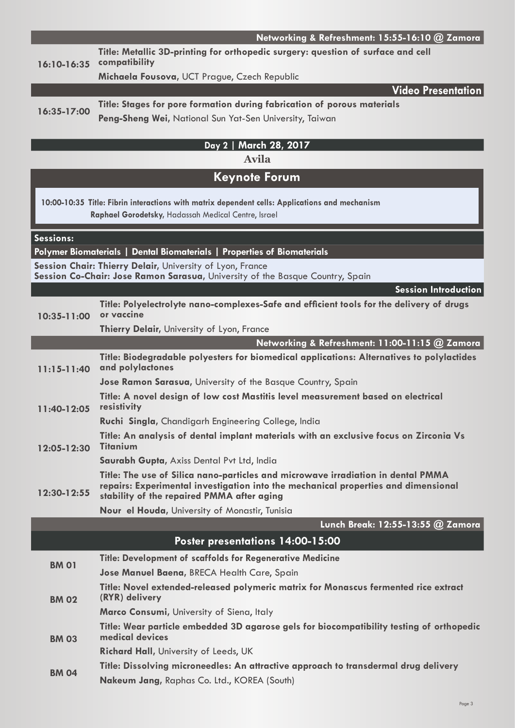|                        | Networking & Refreshment: 15:55-16:10 @ Zamora                                                                                                                                                                       |  |  |
|------------------------|----------------------------------------------------------------------------------------------------------------------------------------------------------------------------------------------------------------------|--|--|
| $16:10-16:35$          | Title: Metallic 3D-printing for orthopedic surgery: question of surface and cell<br>compatibility                                                                                                                    |  |  |
|                        | Michaela Fousova, UCT Prague, Czech Republic                                                                                                                                                                         |  |  |
|                        | <b>Video Presentation</b>                                                                                                                                                                                            |  |  |
| $16:35-17:00$          | Title: Stages for pore formation during fabrication of porous materials                                                                                                                                              |  |  |
|                        | Peng-Sheng Wei, National Sun Yat-Sen University, Taiwan                                                                                                                                                              |  |  |
| Day 2   March 28, 2017 |                                                                                                                                                                                                                      |  |  |
| <b>Avila</b>           |                                                                                                                                                                                                                      |  |  |
| <b>Keynote Forum</b>   |                                                                                                                                                                                                                      |  |  |
|                        | 10:00-10:35 Title: Fibrin interactions with matrix dependent cells: Applications and mechanism<br>Raphael Gorodetsky, Hadassah Medical Centre, Israel                                                                |  |  |
| Sessions:              |                                                                                                                                                                                                                      |  |  |
|                        | Polymer Biomaterials   Dental Biomaterials   Properties of Biomaterials                                                                                                                                              |  |  |
|                        | Session Chair: Thierry Delair, University of Lyon, France<br>Session Co-Chair: Jose Ramon Sarasua, University of the Basque Country, Spain                                                                           |  |  |
|                        | <b>Session Introduction</b>                                                                                                                                                                                          |  |  |
| $10:35 - 11:00$        | Title: Polyelectrolyte nano-complexes-Safe and efficient tools for the delivery of drugs<br>or vaccine                                                                                                               |  |  |
|                        | <b>Thierry Delair, University of Lyon, France</b>                                                                                                                                                                    |  |  |
|                        | Networking & Refreshment: 11:00-11:15 @ Zamora                                                                                                                                                                       |  |  |
| $11:15-11:40$          | Title: Biodegradable polyesters for biomedical applications: Alternatives to polylactides<br>and polylactones                                                                                                        |  |  |
|                        | Jose Ramon Sarasua, University of the Basque Country, Spain                                                                                                                                                          |  |  |
| 11:40-12:05            | Title: A novel design of low cost Mastitis level measurement based on electrical<br>resistivity                                                                                                                      |  |  |
|                        | Ruchi Singla, Chandigarh Engineering College, India                                                                                                                                                                  |  |  |
| 12:05-12:30            | Title: An analysis of dental implant materials with an exclusive focus on Zirconia Vs<br><b>Titanium</b>                                                                                                             |  |  |
|                        | Saurabh Gupta, Axiss Dental Pvt Ltd, India                                                                                                                                                                           |  |  |
| 12:30-12:55            | Title: The use of Silica nano-particles and microwave irradiation in dental PMMA<br>repairs: Experimental investigation into the mechanical properties and dimensional<br>stability of the repaired PMMA after aging |  |  |
|                        | Nour el Houda, University of Monastir, Tunisia                                                                                                                                                                       |  |  |
|                        | Lunch Break: 12:55-13:55 @ Zamora                                                                                                                                                                                    |  |  |
|                        | Poster presentations 14:00-15:00                                                                                                                                                                                     |  |  |
| <b>BM 01</b>           | <b>Title: Development of scaffolds for Regenerative Medicine</b>                                                                                                                                                     |  |  |
|                        | Jose Manuel Baena, BRECA Health Care, Spain                                                                                                                                                                          |  |  |
| <b>BM 02</b>           | Title: Novel extended-released polymeric matrix for Monascus fermented rice extract<br>(RYR) delivery                                                                                                                |  |  |
|                        | Marco Consumi, University of Siena, Italy                                                                                                                                                                            |  |  |
| <b>BM 03</b>           | Title: Wear particle embedded 3D agarose gels for biocompatibility testing of orthopedic<br>medical devices                                                                                                          |  |  |
|                        | <b>Richard Hall, University of Leeds, UK</b>                                                                                                                                                                         |  |  |
| <b>BM 04</b>           | Title: Dissolving microneedles: An attractive approach to transdermal drug delivery                                                                                                                                  |  |  |
|                        | Nakeum Jang, Raphas Co. Ltd., KOREA (South)                                                                                                                                                                          |  |  |

Page 3